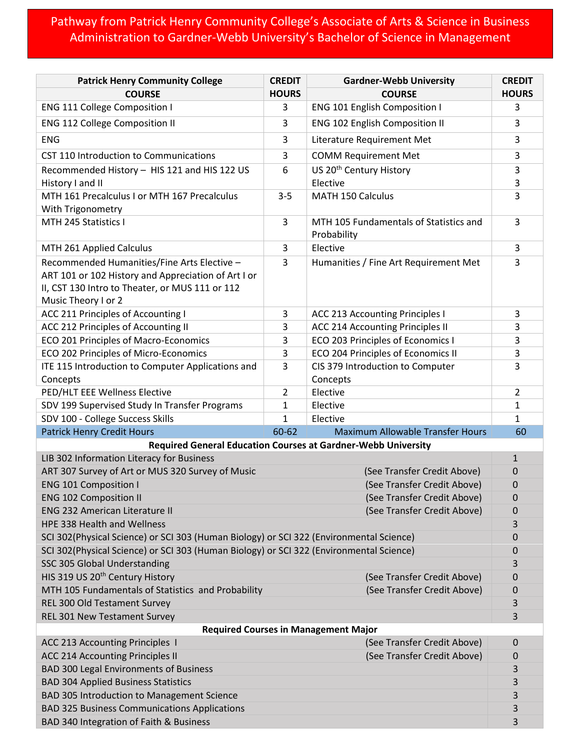## Pathway from Patrick Henry Community College's Associate of Arts & Science in Business Administration to Gardner-Webb University's Bachelor of Science in Management

| <b>Patrick Henry Community College</b>                                                  | <b>CREDIT</b>  | <b>Gardner-Webb University</b>                        | <b>CREDIT</b>    |  |
|-----------------------------------------------------------------------------------------|----------------|-------------------------------------------------------|------------------|--|
| <b>COURSE</b>                                                                           | <b>HOURS</b>   | <b>COURSE</b>                                         | <b>HOURS</b>     |  |
| <b>ENG 111 College Composition I</b>                                                    | 3              | <b>ENG 101 English Composition I</b>                  | 3                |  |
| <b>ENG 112 College Composition II</b>                                                   | 3              | <b>ENG 102 English Composition II</b>                 | 3                |  |
| <b>ENG</b>                                                                              | 3              | Literature Requirement Met                            | 3                |  |
| CST 110 Introduction to Communications                                                  | 3              | <b>COMM Requirement Met</b>                           | 3                |  |
| Recommended History - HIS 121 and HIS 122 US                                            | 6              | US 20 <sup>th</sup> Century History                   | 3                |  |
| History I and II                                                                        |                | Elective                                              | 3                |  |
| MTH 161 Precalculus I or MTH 167 Precalculus                                            | $3 - 5$        | <b>MATH 150 Calculus</b>                              | 3                |  |
| With Trigonometry                                                                       |                |                                                       |                  |  |
| MTH 245 Statistics I                                                                    | 3              | MTH 105 Fundamentals of Statistics and<br>Probability | 3                |  |
| MTH 261 Applied Calculus                                                                | 3              | Elective                                              | 3                |  |
| Recommended Humanities/Fine Arts Elective -                                             | 3              | Humanities / Fine Art Requirement Met                 | 3                |  |
| ART 101 or 102 History and Appreciation of Art I or                                     |                |                                                       |                  |  |
| II, CST 130 Intro to Theater, or MUS 111 or 112                                         |                |                                                       |                  |  |
| Music Theory I or 2                                                                     |                |                                                       |                  |  |
| ACC 211 Principles of Accounting I                                                      | 3              | <b>ACC 213 Accounting Principles I</b>                | 3                |  |
| ACC 212 Principles of Accounting II                                                     | 3              | ACC 214 Accounting Principles II                      | 3                |  |
| ECO 201 Principles of Macro-Economics                                                   | 3              | ECO 203 Principles of Economics I                     | 3                |  |
| ECO 202 Principles of Micro-Economics                                                   | 3              | ECO 204 Principles of Economics II                    | 3                |  |
| ITE 115 Introduction to Computer Applications and                                       | 3              | CIS 379 Introduction to Computer                      | 3                |  |
| Concepts                                                                                |                | Concepts                                              |                  |  |
| PED/HLT EEE Wellness Elective                                                           | $\overline{2}$ | Elective                                              | $\overline{2}$   |  |
| SDV 199 Supervised Study In Transfer Programs                                           | 1              | Elective                                              | 1                |  |
| SDV 100 - College Success Skills                                                        | 1              | Elective                                              | $\mathbf{1}$     |  |
| <b>Patrick Henry Credit Hours</b>                                                       | 60-62          | <b>Maximum Allowable Transfer Hours</b>               | 60               |  |
| <b>Required General Education Courses at Gardner-Webb University</b>                    |                |                                                       |                  |  |
| LIB 302 Information Literacy for Business                                               |                |                                                       | $\mathbf{1}$     |  |
| ART 307 Survey of Art or MUS 320 Survey of Music                                        |                | (See Transfer Credit Above)                           | 0                |  |
| <b>ENG 101 Composition I</b>                                                            |                | (See Transfer Credit Above)                           | 0                |  |
| <b>ENG 102 Composition II</b>                                                           |                | (See Transfer Credit Above)                           | 0                |  |
| <b>ENG 232 American Literature II</b>                                                   |                | (See Transfer Credit Above)                           | 0                |  |
| HPE 338 Health and Wellness                                                             |                |                                                       | 3                |  |
| SCI 302(Physical Science) or SCI 303 (Human Biology) or SCI 322 (Environmental Science) |                |                                                       | $\mathbf 0$      |  |
| SCI 302(Physical Science) or SCI 303 (Human Biology) or SCI 322 (Environmental Science) |                |                                                       | 0                |  |
| SSC 305 Global Understanding                                                            |                |                                                       | 3                |  |
| HIS 319 US 20 <sup>th</sup> Century History                                             |                | (See Transfer Credit Above)                           | $\mathbf 0$      |  |
| MTH 105 Fundamentals of Statistics and Probability                                      |                | (See Transfer Credit Above)                           | 0                |  |
| REL 300 Old Testament Survey                                                            |                |                                                       | 3                |  |
| REL 301 New Testament Survey                                                            |                |                                                       | 3                |  |
|                                                                                         |                | <b>Required Courses in Management Major</b>           |                  |  |
| ACC 213 Accounting Principles 1                                                         |                | (See Transfer Credit Above)                           | 0                |  |
| ACC 214 Accounting Principles II                                                        |                | (See Transfer Credit Above)                           | $\boldsymbol{0}$ |  |
| <b>BAD 300 Legal Environments of Business</b>                                           |                |                                                       | 3<br>3           |  |
| <b>BAD 304 Applied Business Statistics</b>                                              |                |                                                       |                  |  |
| BAD 305 Introduction to Management Science                                              |                |                                                       | 3                |  |
| <b>BAD 325 Business Communications Applications</b>                                     |                |                                                       | 3                |  |
| BAD 340 Integration of Faith & Business                                                 |                |                                                       | 3                |  |